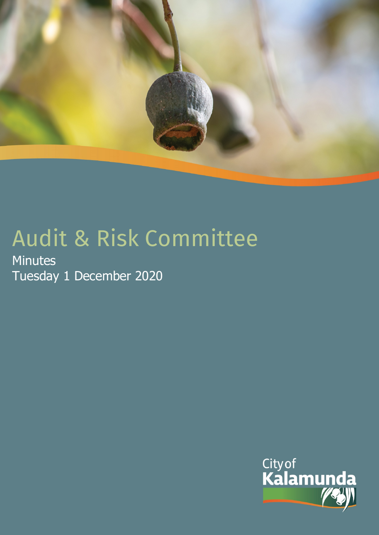

# Audit & Risk Committee

**Minutes** Tuesday 1 December 2020

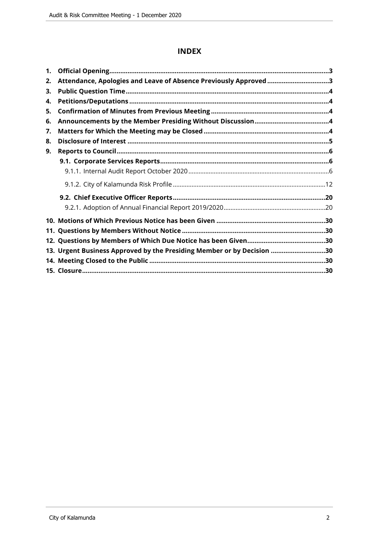# **INDEX**

| 1. |                                                                        |  |
|----|------------------------------------------------------------------------|--|
| 2. | Attendance, Apologies and Leave of Absence Previously Approved 3       |  |
| 3. |                                                                        |  |
| 4. |                                                                        |  |
| 5. |                                                                        |  |
| 6. |                                                                        |  |
| 7. |                                                                        |  |
| 8. |                                                                        |  |
| 9. |                                                                        |  |
|    |                                                                        |  |
|    |                                                                        |  |
|    |                                                                        |  |
|    |                                                                        |  |
|    |                                                                        |  |
|    |                                                                        |  |
|    |                                                                        |  |
|    |                                                                        |  |
|    | 13. Urgent Business Approved by the Presiding Member or by Decision 30 |  |
|    |                                                                        |  |
|    |                                                                        |  |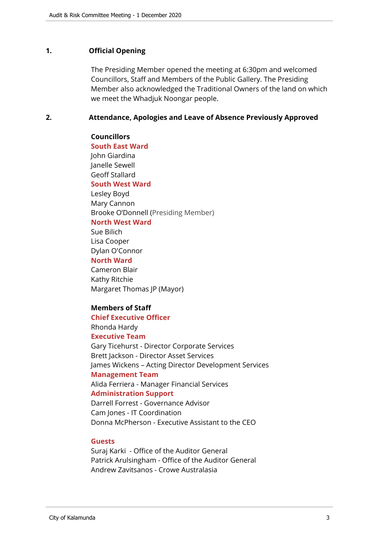#### <span id="page-2-0"></span>**1. Official Opening**

The Presiding Member opened the meeting at 6:30pm and welcomed Councillors, Staff and Members of the Public Gallery. The Presiding Member also acknowledged the Traditional Owners of the land on which we meet the Whadjuk Noongar people.

#### <span id="page-2-1"></span>**2. Attendance, Apologies and Leave of Absence Previously Approved**

#### **Councillors**

**South East Ward** 

John Giardina Janelle Sewell Geoff Stallard

#### **South West Ward**

Lesley Boyd Mary Cannon Brooke O'Donnell (Presiding Member)

**North West Ward**

Sue Bilich Lisa Cooper Dylan O'Connor

# **North Ward**

Cameron Blair Kathy Ritchie Margaret Thomas JP (Mayor)

#### **Members of Staff**

#### **Chief Executive Officer**

Rhonda Hardy **Executive Team**

Gary Ticehurst - Director Corporate Services Brett Jackson - Director Asset Services James Wickens – Acting Director Development Services **Management Team**

Alida Ferriera - Manager Financial Services

#### **Administration Support**

Darrell Forrest - Governance Advisor Cam Jones - IT Coordination Donna McPherson - Executive Assistant to the CEO

#### **Guests**

Suraj Karki - Office of the Auditor General Patrick Arulsingham - Office of the Auditor General Andrew Zavitsanos - Crowe Australasia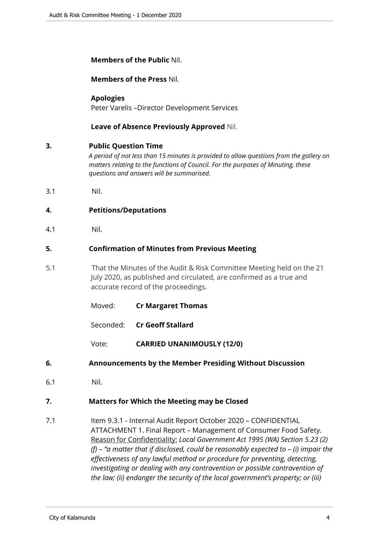## **Members of the Public** Nil.

**Members of the Press** Nil.

# **Apologies**

Peter Varelis –Director Development Services

# **Leave of Absence Previously Approved** Nil.

## <span id="page-3-0"></span>**3. Public Question Time**

*A period of not less than 15 minutes is provided to allow questions from the gallery on matters relating to the functions of Council. For the purposes of Minuting, these questions and answers will be summarised.*

3.1 Nil.

# <span id="page-3-1"></span>**4. Petitions/Deputations**

4.1 Nil.

## <span id="page-3-2"></span>**5. Confirmation of Minutes from Previous Meeting**

- 5.1 That the Minutes of the Audit & Risk Committee Meeting held on the 21 July 2020, as published and circulated, are confirmed as a true and accurate record of the proceedings.
	- Moved: **Cr Margaret Thomas**
	- Seconded: **Cr Geoff Stallard**
	- Vote: **CARRIED UNANIMOUSLY (12/0)**
- <span id="page-3-3"></span>**6. Announcements by the Member Presiding Without Discussion**
- 6.1 Nil.

# <span id="page-3-4"></span>**7. Matters for Which the Meeting may be Closed**

7.1 Item 9.3.1 - Internal Audit Report October 2020 - CONFIDENTIAL ATTACHMENT 1. Final Report – Management of Consumer Food Safety. Reason for Confidentiality: *Local Government Act 1995 (WA) Section 5.23 (2) (f) – "a matter that if disclosed, could be reasonably expected to – (i) impair the effectiveness of any lawful method or procedure for preventing, detecting, investigating or dealing with any contravention or possible contravention of the law; (ii) endanger the security of the local government's property; or (iii)*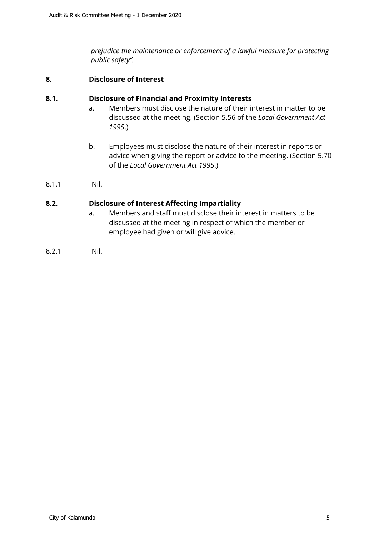*prejudice the maintenance or enforcement of a lawful measure for protecting public safety".*

# <span id="page-4-0"></span>**8. Disclosure of Interest**

#### **8.1. Disclosure of Financial and Proximity Interests**

- a. Members must disclose the nature of their interest in matter to be discussed at the meeting. (Section 5.56 of the *Local Government Act 1995*.)
- b. Employees must disclose the nature of their interest in reports or advice when giving the report or advice to the meeting. (Section 5.70 of the *Local Government Act 1995*.)
- 8.1.1 Nil.

#### **8.2. Disclosure of Interest Affecting Impartiality**

- a. Members and staff must disclose their interest in matters to be discussed at the meeting in respect of which the member or employee had given or will give advice.
- 8.2.1 Nil.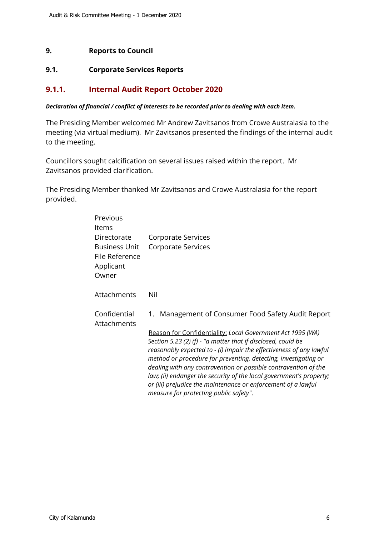# <span id="page-5-0"></span>**9. Reports to Council**

#### <span id="page-5-1"></span>**9.1. Corporate Services Reports**

# <span id="page-5-2"></span>**9.1.1. Internal Audit Report October 2020**

#### *Declaration of financial / conflict of interests to be recorded prior to dealing with each item.*

The Presiding Member welcomed Mr Andrew Zavitsanos from Crowe Australasia to the meeting (via virtual medium). Mr Zavitsanos presented the findings of the internal audit to the meeting.

Councillors sought calcification on several issues raised within the report. Mr Zavitsanos provided clarification.

The Presiding Member thanked Mr Zavitsanos and Crowe Australasia for the report provided.

| Previous<br>Items                                                           |                                                                                                                                                                                                                                                                                                                                                                                                                                                                                                                           |
|-----------------------------------------------------------------------------|---------------------------------------------------------------------------------------------------------------------------------------------------------------------------------------------------------------------------------------------------------------------------------------------------------------------------------------------------------------------------------------------------------------------------------------------------------------------------------------------------------------------------|
| Directorate<br><b>Business Unit</b><br>File Reference<br>Applicant<br>Owner | Corporate Services<br>Corporate Services                                                                                                                                                                                                                                                                                                                                                                                                                                                                                  |
| Attachments                                                                 | Nil                                                                                                                                                                                                                                                                                                                                                                                                                                                                                                                       |
| Confidential<br>Attachments                                                 | Management of Consumer Food Safety Audit Report<br>1.                                                                                                                                                                                                                                                                                                                                                                                                                                                                     |
|                                                                             | Reason for Confidentiality: Local Government Act 1995 (WA)<br>Section 5.23 (2) (f) - "a matter that if disclosed, could be<br>reasonably expected to - (i) impair the effectiveness of any lawful<br>method or procedure for preventing, detecting, investigating or<br>dealing with any contravention or possible contravention of the<br>law; (ii) endanger the security of the local government's property;<br>or (iii) prejudice the maintenance or enforcement of a lawful<br>measure for protecting public safety". |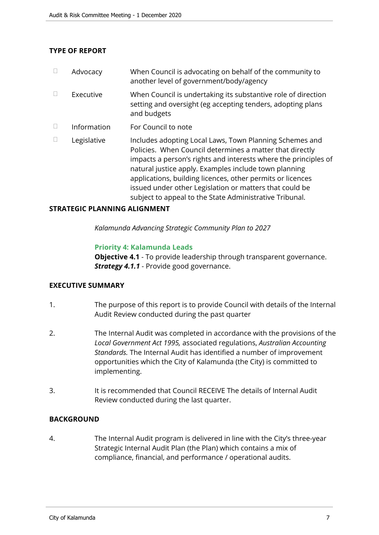# **TYPE OF REPORT**

| $\Box$ | Advocacy    | When Council is advocating on behalf of the community to<br>another level of government/body/agency                                                                                                                                                                                                                                                                                                                                 |
|--------|-------------|-------------------------------------------------------------------------------------------------------------------------------------------------------------------------------------------------------------------------------------------------------------------------------------------------------------------------------------------------------------------------------------------------------------------------------------|
| $\Box$ | Executive   | When Council is undertaking its substantive role of direction<br>setting and oversight (eg accepting tenders, adopting plans<br>and budgets                                                                                                                                                                                                                                                                                         |
| $\Box$ | Information | For Council to note                                                                                                                                                                                                                                                                                                                                                                                                                 |
| П      | Legislative | Includes adopting Local Laws, Town Planning Schemes and<br>Policies. When Council determines a matter that directly<br>impacts a person's rights and interests where the principles of<br>natural justice apply. Examples include town planning<br>applications, building licences, other permits or licences<br>issued under other Legislation or matters that could be<br>subject to appeal to the State Administrative Tribunal. |

#### **STRATEGIC PLANNING ALIGNMENT**

*Kalamunda Advancing Strategic Community Plan to 2027*

#### **Priority 4: Kalamunda Leads**

**Objective 4.1** - To provide leadership through transparent governance. *Strategy 4.1.1* - Provide good governance.

#### **EXECUTIVE SUMMARY**

- 1. The purpose of this report is to provide Council with details of the Internal Audit Review conducted during the past quarter
- 2. The Internal Audit was completed in accordance with the provisions of the *Local Government Act 1995,* associated regulations, *Australian Accounting Standards.* The Internal Audit has identified a number of improvement opportunities which the City of Kalamunda (the City) is committed to implementing.
- 3. It is recommended that Council RECEIVE The details of Internal Audit Review conducted during the last quarter.

#### **BACKGROUND**

4. The Internal Audit program is delivered in line with the City's three-year Strategic Internal Audit Plan (the Plan) which contains a mix of compliance, financial, and performance / operational audits.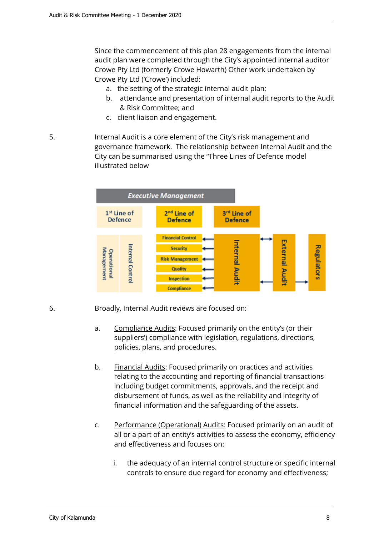Since the commencement of this plan 28 engagements from the internal audit plan were completed through the City's appointed internal auditor Crowe Pty Ltd (formerly Crowe Howarth) Other work undertaken by Crowe Pty Ltd ('Crowe') included:

- a. the setting of the strategic internal audit plan;
- b. attendance and presentation of internal audit reports to the Audit & Risk Committee; and
- c. client liaison and engagement.
- 5. Internal Audit is a core element of the City's risk management and governance framework. The relationship between Internal Audit and the City can be summarised using the "Three Lines of Defence model illustrated below



- 6. Broadly, Internal Audit reviews are focused on:
	- a. Compliance Audits: Focused primarily on the entity's (or their suppliers') compliance with legislation, regulations, directions, policies, plans, and procedures.
	- b. Financial Audits: Focused primarily on practices and activities relating to the accounting and reporting of financial transactions including budget commitments, approvals, and the receipt and disbursement of funds, as well as the reliability and integrity of financial information and the safeguarding of the assets.
	- c. Performance (Operational) Audits: Focused primarily on an audit of all or a part of an entity's activities to assess the economy, efficiency and effectiveness and focuses on:
		- i. the adequacy of an internal control structure or specific internal controls to ensure due regard for economy and effectiveness;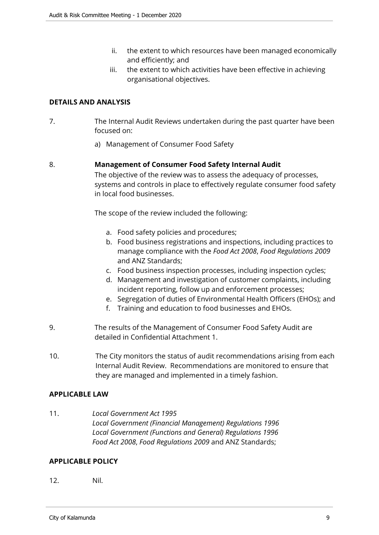- ii. the extent to which resources have been managed economically and efficiently; and
- iii. the extent to which activities have been effective in achieving organisational objectives.

# **DETAILS AND ANALYSIS**

- 7. The Internal Audit Reviews undertaken during the past quarter have been focused on:
	- a) Management of Consumer Food Safety

# 8. **Management of Consumer Food Safety Internal Audit**

The objective of the review was to assess the adequacy of processes, systems and controls in place to effectively regulate consumer food safety in local food businesses.

The scope of the review included the following:

- a. Food safety policies and procedures;
- b. Food business registrations and inspections, including practices to manage compliance with the *Food Act 2008*, *Food Regulations 2009* and ANZ Standards;
- c. Food business inspection processes, including inspection cycles;
- d. Management and investigation of customer complaints, including incident reporting, follow up and enforcement processes;
- e. Segregation of duties of Environmental Health Officers (EHOs); and
- f. Training and education to food businesses and EHOs.
- 9. The results of the Management of Consumer Food Safety Audit are detailed in Confidential Attachment 1.
- 10. The City monitors the status of audit recommendations arising from each Internal Audit Review. Recommendations are monitored to ensure that they are managed and implemented in a timely fashion.

#### **APPLICABLE LAW**

11. *Local Government Act 1995 Local Government (Financial Management) Regulations 1996 Local Government (Functions and General) Regulations 1996 Food Act 2008*, *Food Regulations 2009* and ANZ Standards;

#### **APPLICABLE POLICY**

12. Nil.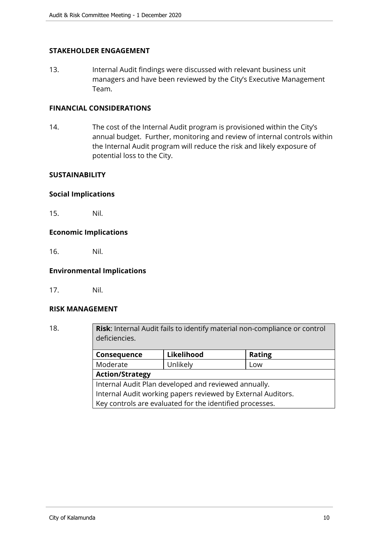# **STAKEHOLDER ENGAGEMENT**

13. Internal Audit findings were discussed with relevant business unit managers and have been reviewed by the City's Executive Management Team.

# **FINANCIAL CONSIDERATIONS**

14. The cost of the Internal Audit program is provisioned within the City's annual budget. Further, monitoring and review of internal controls within the Internal Audit program will reduce the risk and likely exposure of potential loss to the City.

#### **SUSTAINABILITY**

#### **Social Implications**

15. Nil.

#### **Economic Implications**

16. Nil.

#### **Environmental Implications**

17. Nil.

#### **RISK MANAGEMENT**

18. **Risk**: Internal Audit fails to identify material non-compliance or control deficiencies. **Consequence Likelihood Rating** Moderate | Unlikely | Low

> **Action/Strategy** Internal Audit Plan developed and reviewed annually. Internal Audit working papers reviewed by External Auditors. Key controls are evaluated for the identified processes.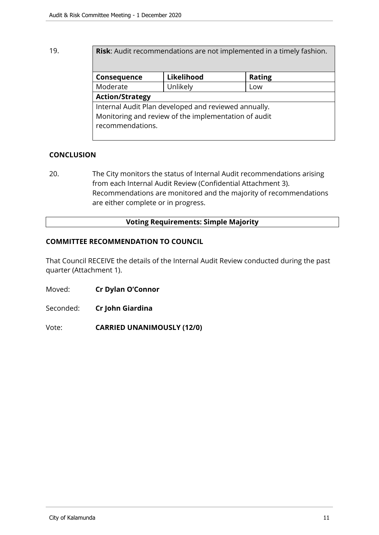# 19. **Risk**: Audit recommendations are not implemented in a timely fashion.

| Consequence                                          | Likelihood | <b>Rating</b> |  |  |
|------------------------------------------------------|------------|---------------|--|--|
| Moderate                                             | Unlikely   | Low           |  |  |
| <b>Action/Strategy</b>                               |            |               |  |  |
| Internal Audit Plan developed and reviewed annually. |            |               |  |  |
| Monitoring and review of the implementation of audit |            |               |  |  |
| recommendations.                                     |            |               |  |  |
|                                                      |            |               |  |  |

# **CONCLUSION**

20. The City monitors the status of Internal Audit recommendations arising from each Internal Audit Review (Confidential Attachment 3). Recommendations are monitored and the majority of recommendations are either complete or in progress.

# **Voting Requirements: Simple Majority**

## **COMMITTEE RECOMMENDATION TO COUNCIL**

That Council RECEIVE the details of the Internal Audit Review conducted during the past quarter (Attachment 1).

- Moved: **Cr Dylan O'Connor**
- Seconded: **Cr John Giardina**

Vote: **CARRIED UNANIMOUSLY (12/0)**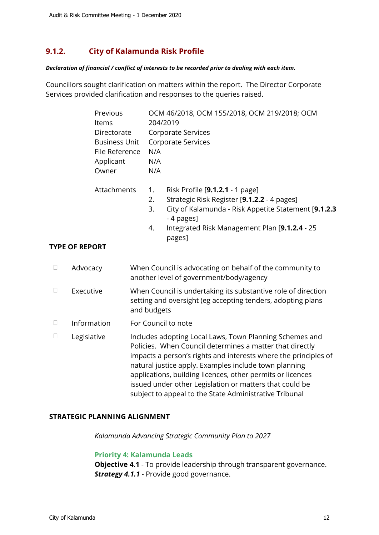# <span id="page-11-0"></span>**9.1.2. City of Kalamunda Risk Profile**

#### *Declaration of financial / conflict of interests to be recorded prior to dealing with each item.*

Councillors sought clarification on matters within the report. The Director Corporate Services provided clarification and responses to the queries raised.

|        | Previous<br>Items<br>Directorate<br><b>Business Unit</b><br>File Reference<br>Applicant<br>Owner | N/A<br>N/A<br>N/A    | OCM 46/2018, OCM 155/2018, OCM 219/2018; OCM<br>204/2019<br>Corporate Services<br><b>Corporate Services</b>                                                                                                                                                                                                                                                                                                                        |
|--------|--------------------------------------------------------------------------------------------------|----------------------|------------------------------------------------------------------------------------------------------------------------------------------------------------------------------------------------------------------------------------------------------------------------------------------------------------------------------------------------------------------------------------------------------------------------------------|
|        | Attachments<br><b>YPE OF REPORT</b>                                                              | 1.<br>2.<br>3.<br>4. | Risk Profile [9.1.2.1 - 1 page]<br>Strategic Risk Register [9.1.2.2 - 4 pages]<br>City of Kalamunda - Risk Appetite Statement [9.1.2.3<br>- 4 pages]<br>Integrated Risk Management Plan [9.1.2.4 - 25<br>pages]                                                                                                                                                                                                                    |
| $\Box$ | Advocacy                                                                                         |                      | When Council is advocating on behalf of the community to<br>another level of government/body/agency                                                                                                                                                                                                                                                                                                                                |
| $\Box$ | Executive                                                                                        | and budgets          | When Council is undertaking its substantive role of direction<br>setting and oversight (eg accepting tenders, adopting plans                                                                                                                                                                                                                                                                                                       |
| $\Box$ | Information                                                                                      |                      | For Council to note                                                                                                                                                                                                                                                                                                                                                                                                                |
| $\Box$ | Legislative                                                                                      |                      | Includes adopting Local Laws, Town Planning Schemes and<br>Policies. When Council determines a matter that directly<br>impacts a person's rights and interests where the principles of<br>natural justice apply. Examples include town planning<br>applications, building licences, other permits or licences<br>issued under other Legislation or matters that could be<br>subject to appeal to the State Administrative Tribunal |

#### **STRATEGIC PLANNING ALIGNMENT**

*Kalamunda Advancing Strategic Community Plan to 2027*

#### **Priority 4: Kalamunda Leads**

**Objective 4.1** - To provide leadership through transparent governance. *Strategy 4.1.1* - Provide good governance.

**TYPE**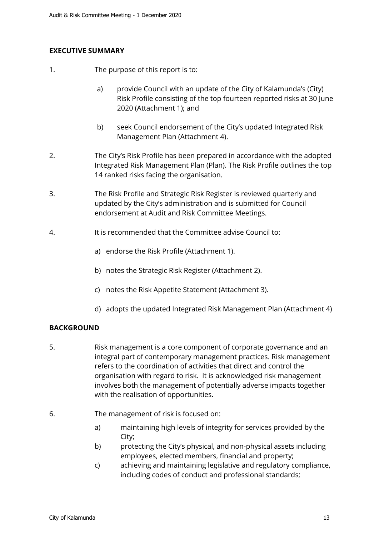# **EXECUTIVE SUMMARY**

- 1. The purpose of this report is to:
	- a) provide Council with an update of the City of Kalamunda's (City) Risk Profile consisting of the top fourteen reported risks at 30 June 2020 (Attachment 1); and
	- b) seek Council endorsement of the City's updated Integrated Risk Management Plan (Attachment 4).
- 2. The City's Risk Profile has been prepared in accordance with the adopted Integrated Risk Management Plan (Plan). The Risk Profile outlines the top 14 ranked risks facing the organisation.
- 3. The Risk Profile and Strategic Risk Register is reviewed quarterly and updated by the City's administration and is submitted for Council endorsement at Audit and Risk Committee Meetings.
- 4. It is recommended that the Committee advise Council to:
	- a) endorse the Risk Profile (Attachment 1).
	- b) notes the Strategic Risk Register (Attachment 2).
	- c) notes the Risk Appetite Statement (Attachment 3).
	- d) adopts the updated Integrated Risk Management Plan (Attachment 4)

# **BACKGROUND**

- 5. Risk management is a core component of corporate governance and an integral part of contemporary management practices. Risk management refers to the coordination of activities that direct and control the organisation with regard to risk. It is acknowledged risk management involves both the management of potentially adverse impacts together with the realisation of opportunities.
- 6. The management of risk is focused on:
	- a) maintaining high levels of integrity for services provided by the City;
	- b) protecting the City's physical, and non-physical assets including employees, elected members, financial and property;
	- c) achieving and maintaining legislative and regulatory compliance, including codes of conduct and professional standards;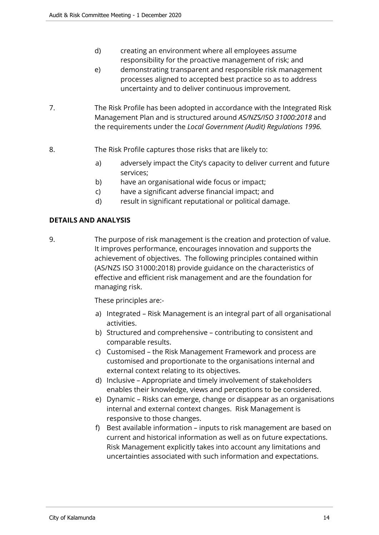- d) creating an environment where all employees assume responsibility for the proactive management of risk; and
- e) demonstrating transparent and responsible risk management processes aligned to accepted best practice so as to address uncertainty and to deliver continuous improvement.
- 7. The Risk Profile has been adopted in accordance with the Integrated Risk Management Plan and is structured around *AS/NZS/ISO 31000:2018* and the requirements under the *Local Government (Audit) Regulations 1996.*
- 8. The Risk Profile captures those risks that are likely to:
	- a) adversely impact the City's capacity to deliver current and future services;
	- b) have an organisational wide focus or impact;
	- c) have a significant adverse financial impact; and
	- d) result in significant reputational or political damage.

# **DETAILS AND ANALYSIS**

9. The purpose of risk management is the creation and protection of value. It improves performance, encourages innovation and supports the achievement of objectives. The following principles contained within (AS/NZS ISO 31000:2018) provide guidance on the characteristics of effective and efficient risk management and are the foundation for managing risk.

These principles are:-

- a) Integrated Risk Management is an integral part of all organisational activities.
- b) Structured and comprehensive contributing to consistent and comparable results.
- c) Customised the Risk Management Framework and process are customised and proportionate to the organisations internal and external context relating to its objectives.
- d) Inclusive Appropriate and timely involvement of stakeholders enables their knowledge, views and perceptions to be considered.
- e) Dynamic Risks can emerge, change or disappear as an organisations internal and external context changes. Risk Management is responsive to those changes.
- f) Best available information inputs to risk management are based on current and historical information as well as on future expectations. Risk Management explicitly takes into account any limitations and uncertainties associated with such information and expectations.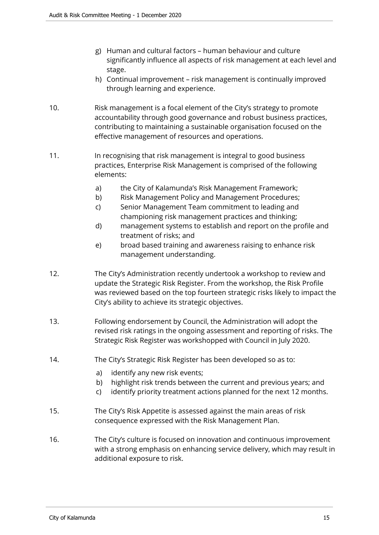- g) Human and cultural factors human behaviour and culture significantly influence all aspects of risk management at each level and stage.
- h) Continual improvement risk management is continually improved through learning and experience.
- 10. Risk management is a focal element of the City's strategy to promote accountability through good governance and robust business practices, contributing to maintaining a sustainable organisation focused on the effective management of resources and operations.
- 11. In recognising that risk management is integral to good business practices, Enterprise Risk Management is comprised of the following elements:
	- a) the City of Kalamunda's Risk Management Framework;
	- b) Risk Management Policy and Management Procedures;
	- c) Senior Management Team commitment to leading and championing risk management practices and thinking;
	- d) management systems to establish and report on the profile and treatment of risks; and
	- e) broad based training and awareness raising to enhance risk management understanding.
- 12. The City's Administration recently undertook a workshop to review and update the Strategic Risk Register. From the workshop, the Risk Profile was reviewed based on the top fourteen strategic risks likely to impact the City's ability to achieve its strategic objectives.
- 13. Following endorsement by Council, the Administration will adopt the revised risk ratings in the ongoing assessment and reporting of risks. The Strategic Risk Register was workshopped with Council in July 2020.
- 14. The City's Strategic Risk Register has been developed so as to:
	- a) identify any new risk events;
	- b) highlight risk trends between the current and previous years; and
	- c) identify priority treatment actions planned for the next 12 months.
- 15. The City's Risk Appetite is assessed against the main areas of risk consequence expressed with the Risk Management Plan.
- 16. The City's culture is focused on innovation and continuous improvement with a strong emphasis on enhancing service delivery, which may result in additional exposure to risk.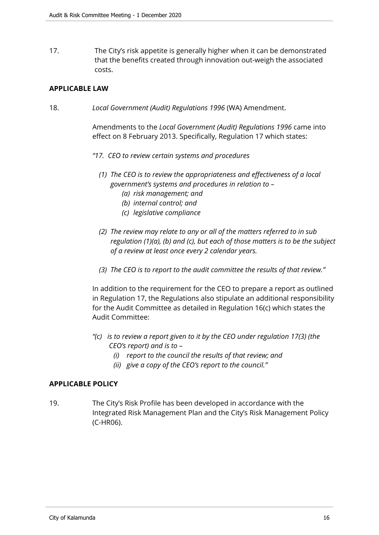17. The City's risk appetite is generally higher when it can be demonstrated that the benefits created through innovation out-weigh the associated costs.

## **APPLICABLE LAW**

18. *Local Government (Audit) Regulations 1996* (WA) Amendment.

Amendments to the *Local Government (Audit) Regulations 1996* came into effect on 8 February 2013. Specifically, Regulation 17 which states:

- *"17. CEO to review certain systems and procedures*
	- *(1) The CEO is to review the appropriateness and effectiveness of a local government's systems and procedures in relation to –* 
		- *(a) risk management; and*
		- *(b) internal control; and*
		- *(c) legislative compliance*
	- *(2) The review may relate to any or all of the matters referred to in sub regulation (1)(a), (b) and (c), but each of those matters is to be the subject of a review at least once every 2 calendar years.*
	- *(3) The CEO is to report to the audit committee the results of that review."*

In addition to the requirement for the CEO to prepare a report as outlined in Regulation 17, the Regulations also stipulate an additional responsibility for the Audit Committee as detailed in Regulation 16(c) which states the Audit Committee:

- *"(c) is to review a report given to it by the CEO under regulation 17(3) (the CEO's report) and is to –* 
	- *(i) report to the council the results of that review; and*
	- *(ii) give a copy of the CEO's report to the council."*

#### **APPLICABLE POLICY**

19. The City's Risk Profile has been developed in accordance with the Integrated Risk Management Plan and the City's Risk Management Policy (C-HR06).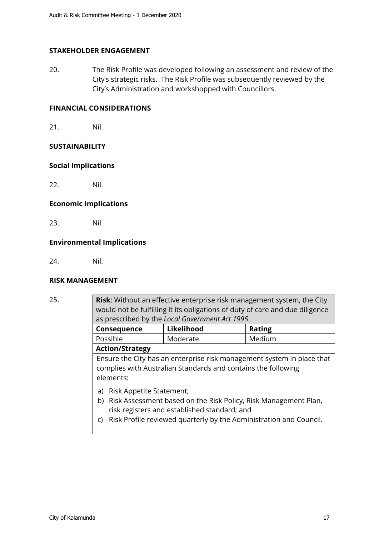# **STAKEHOLDER ENGAGEMENT**

20. The Risk Profile was developed following an assessment and review of the City's strategic risks. The Risk Profile was subsequently reviewed by the City's Administration and workshopped with Councillors.

# **FINANCIAL CONSIDERATIONS**

21. Nil.

#### **SUSTAINABILITY**

#### **Social Implications**

22. Nil.

## **Economic Implications**

23. Nil.

## **Environmental Implications**

24. Nil.

#### **RISK MANAGEMENT**

25. **Risk**: Without an effective enterprise risk management system, the City would not be fulfilling it its obligations of duty of care and due diligence as prescribed by the *Local Government Act 1995*. **Consequence Likelihood Rating** Possible Moderate Medium **Action/Strategy** Ensure the City has an enterprise risk management system in place that complies with Australian Standards and contains the following elements: a) Risk Appetite Statement; b) Risk Assessment based on the Risk Policy, Risk Management Plan, risk registers and established standard; and c) Risk Profile reviewed quarterly by the Administration and Council.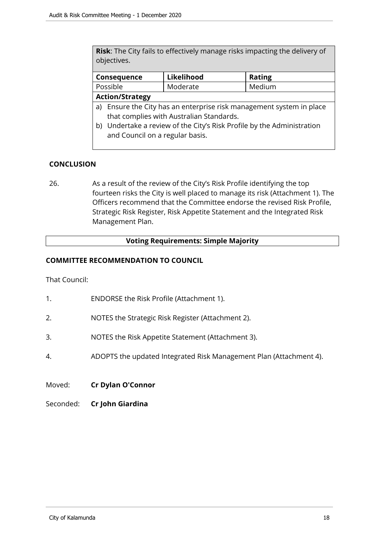**Risk**: The City fails to effectively manage risks impacting the delivery of objectives.

| Consequence                                                             | Likelihood | <b>Rating</b> |  |  |
|-------------------------------------------------------------------------|------------|---------------|--|--|
| Possible                                                                | Moderate   | Medium        |  |  |
| <b>Action/Strategy</b>                                                  |            |               |  |  |
| Ensure the City has an enterprise risk management system in place<br>a) |            |               |  |  |
| that complies with Australian Standards.                                |            |               |  |  |
| b) Undertake a review of the City's Risk Profile by the Administration  |            |               |  |  |

and Council on a regular basis.

## **CONCLUSION**

26. As a result of the review of the City's Risk Profile identifying the top fourteen risks the City is well placed to manage its risk (Attachment 1). The Officers recommend that the Committee endorse the revised Risk Profile, Strategic Risk Register, Risk Appetite Statement and the Integrated Risk Management Plan.

#### **Voting Requirements: Simple Majority**

## **COMMITTEE RECOMMENDATION TO COUNCIL**

That Council:

- 1. ENDORSE the Risk Profile (Attachment 1).
- 2. NOTES the Strategic Risk Register (Attachment 2).
- 3. NOTES the Risk Appetite Statement (Attachment 3).
- 4. ADOPTS the updated Integrated Risk Management Plan (Attachment 4).
- Moved: **Cr Dylan O'Connor**
- Seconded: **Cr John Giardina**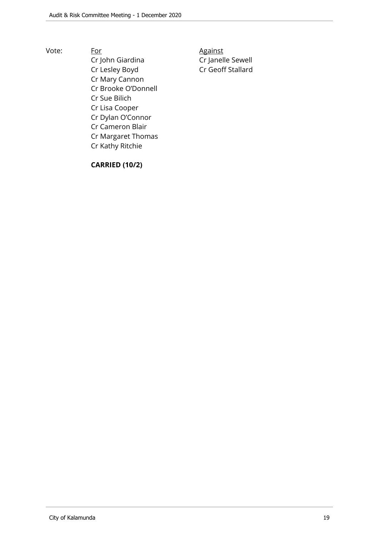Vote: For For Against Cr John Giardina Cr Janelle Sewell Cr Lesley Boyd Cr Geoff Stallard Cr Mary Cannon Cr Brooke O'Donnell Cr Sue Bilich Cr Lisa Cooper Cr Dylan O'Connor Cr Cameron Blair Cr Margaret Thomas Cr Kathy Ritchie

# **CARRIED (10/2)**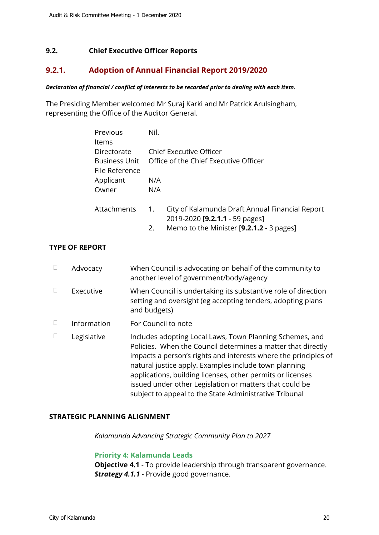# <span id="page-19-0"></span>**9.2. Chief Executive Officer Reports**

# <span id="page-19-1"></span>**9.2.1. Adoption of Annual Financial Report 2019/2020**

#### *Declaration of financial / conflict of interests to be recorded prior to dealing with each item.*

The Presiding Member welcomed Mr Suraj Karki and Mr Patrick Arulsingham, representing the Office of the Auditor General.

| Previous             | Nil.                    |                                                 |  |  |
|----------------------|-------------------------|-------------------------------------------------|--|--|
| Items                |                         |                                                 |  |  |
| Directorate          | Chief Executive Officer |                                                 |  |  |
| <b>Business Unit</b> |                         | Office of the Chief Executive Officer           |  |  |
| File Reference       |                         |                                                 |  |  |
| Applicant            | N/A                     |                                                 |  |  |
| Owner                | N/A                     |                                                 |  |  |
|                      |                         |                                                 |  |  |
| Attachments          | 1.                      | City of Kalamunda Draft Annual Financial Report |  |  |
|                      |                         | 2019-2020 [9.2.1.1 - 59 pages]                  |  |  |
|                      | 2.                      | Memo to the Minister [9.2.1.2 - 3 pages]        |  |  |
|                      |                         |                                                 |  |  |

# **TYPE OF REPORT**

| $\Box$ | Advocacy    | When Council is advocating on behalf of the community to<br>another level of government/body/agency                                                                                                                                                                                                                                                                                                                                     |
|--------|-------------|-----------------------------------------------------------------------------------------------------------------------------------------------------------------------------------------------------------------------------------------------------------------------------------------------------------------------------------------------------------------------------------------------------------------------------------------|
| $\Box$ | Executive   | When Council is undertaking its substantive role of direction<br>setting and oversight (eg accepting tenders, adopting plans<br>and budgets)                                                                                                                                                                                                                                                                                            |
| $\Box$ | Information | For Council to note                                                                                                                                                                                                                                                                                                                                                                                                                     |
|        | Legislative | Includes adopting Local Laws, Town Planning Schemes, and<br>Policies. When the Council determines a matter that directly<br>impacts a person's rights and interests where the principles of<br>natural justice apply. Examples include town planning<br>applications, building licenses, other permits or licenses<br>issued under other Legislation or matters that could be<br>subject to appeal to the State Administrative Tribunal |

#### **STRATEGIC PLANNING ALIGNMENT**

*Kalamunda Advancing Strategic Community Plan to 2027*

#### **Priority 4: Kalamunda Leads**

**Objective 4.1** - To provide leadership through transparent governance. *Strategy 4.1.1* - Provide good governance.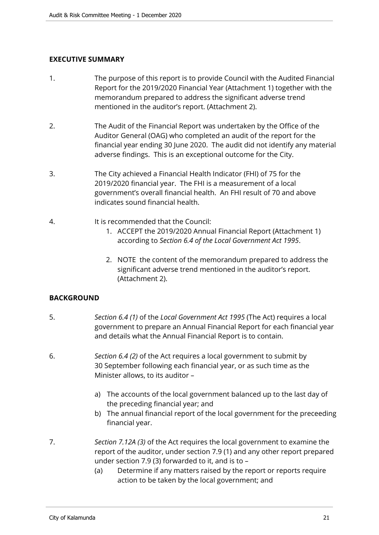# **EXECUTIVE SUMMARY**

- 1. The purpose of this report is to provide Council with the Audited Financial Report for the 2019/2020 Financial Year (Attachment 1) together with the memorandum prepared to address the significant adverse trend mentioned in the auditor's report. (Attachment 2).
- 2. The Audit of the Financial Report was undertaken by the Office of the Auditor General (OAG) who completed an audit of the report for the financial year ending 30 June 2020. The audit did not identify any material adverse findings. This is an exceptional outcome for the City.
- 3. The City achieved a Financial Health Indicator (FHI) of 75 for the 2019/2020 financial year. The FHI is a measurement of a local government's overall financial health. An FHI result of 70 and above indicates sound financial health.
- 4. It is recommended that the Council:
	- 1. ACCEPT the 2019/2020 Annual Financial Report (Attachment 1) according to *Section 6.4 of the Local Government Act 1995*.
	- 2. NOTE the content of the memorandum prepared to address the significant adverse trend mentioned in the auditor's report. (Attachment 2).

#### **BACKGROUND**

- 5. *Section 6.4 (1)* of the *Local Government Act 1995* (The Act) requires a local government to prepare an Annual Financial Report for each financial year and details what the Annual Financial Report is to contain.
- 6. *Section 6.4 (2)* of the Act requires a local government to submit by 30 September following each financial year, or as such time as the Minister allows, to its auditor –
	- a) The accounts of the local government balanced up to the last day of the preceding financial year; and
	- b) The annual financial report of the local government for the preceeding financial year.
- 7. *Section 7.12A (3)* of the Act requires the local government to examine the report of the auditor, under section 7.9 (1) and any other report prepared under section 7.9 (3) forwarded to it, and is to –
	- (a) Determine if any matters raised by the report or reports require action to be taken by the local government; and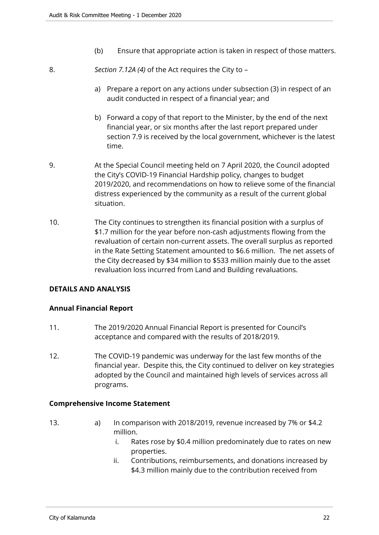- (b) Ensure that appropriate action is taken in respect of those matters.
- 8. *Section 7.12A (4)* of the Act requires the City to
	- a) Prepare a report on any actions under subsection (3) in respect of an audit conducted in respect of a financial year; and
	- b) Forward a copy of that report to the Minister, by the end of the next financial year, or six months after the last report prepared under section 7.9 is received by the local government, whichever is the latest time.
- 9. At the Special Council meeting held on 7 April 2020, the Council adopted the City's COVID-19 Financial Hardship policy, changes to budget 2019/2020, and recommendations on how to relieve some of the financial distress experienced by the community as a result of the current global situation.
- 10. The City continues to strengthen its financial position with a surplus of \$1.7 million for the year before non-cash adjustments flowing from the revaluation of certain non-current assets. The overall surplus as reported in the Rate Setting Statement amounted to \$6.6 million. The net assets of the City decreased by \$34 million to \$533 million mainly due to the asset revaluation loss incurred from Land and Building revaluations.

# **DETAILS AND ANALYSIS**

# **Annual Financial Report**

- 11. The 2019/2020 Annual Financial Report is presented for Council's acceptance and compared with the results of 2018/2019.
- 12. The COVID-19 pandemic was underway for the last few months of the financial year. Despite this, the City continued to deliver on key strategies adopted by the Council and maintained high levels of services across all programs.

#### **Comprehensive Income Statement**

- 13. a) In comparison with 2018/2019, revenue increased by 7% or \$4.2 million.
	- i. Rates rose by \$0.4 million predominately due to rates on new properties.
	- ii. Contributions, reimbursements, and donations increased by \$4.3 million mainly due to the contribution received from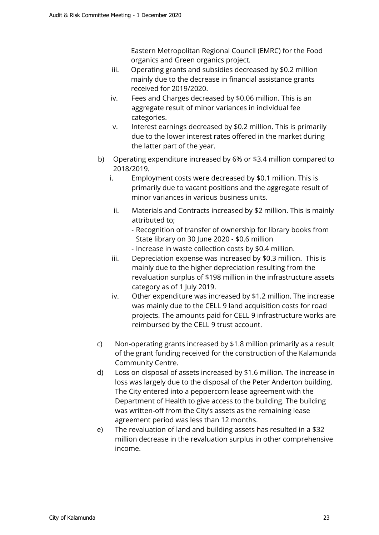Eastern Metropolitan Regional Council (EMRC) for the Food organics and Green organics project.

- iii. Operating grants and subsidies decreased by \$0.2 million mainly due to the decrease in financial assistance grants received for 2019/2020.
- iv. Fees and Charges decreased by \$0.06 million. This is an aggregate result of minor variances in individual fee categories.
- v. Interest earnings decreased by \$0.2 million. This is primarily due to the lower interest rates offered in the market during the latter part of the year.
- b) Operating expenditure increased by 6% or \$3.4 million compared to 2018/2019.
	- i. Employment costs were decreased by \$0.1 million. This is primarily due to vacant positions and the aggregate result of minor variances in various business units.
	- ii. Materials and Contracts increased by \$2 million. This is mainly attributed to;
		- Recognition of transfer of ownership for library books from State library on 30 June 2020 - \$0.6 million
		- Increase in waste collection costs by \$0.4 million.
	- iii. Depreciation expense was increased by \$0.3 million. This is mainly due to the higher depreciation resulting from the revaluation surplus of \$198 million in the infrastructure assets category as of 1 July 2019.
	- iv. Other expenditure was increased by \$1.2 million. The increase was mainly due to the CELL 9 land acquisition costs for road projects. The amounts paid for CELL 9 infrastructure works are reimbursed by the CELL 9 trust account.
- c) Non-operating grants increased by \$1.8 million primarily as a result of the grant funding received for the construction of the Kalamunda Community Centre.
- d) Loss on disposal of assets increased by \$1.6 million. The increase in loss was largely due to the disposal of the Peter Anderton building. The City entered into a peppercorn lease agreement with the Department of Health to give access to the building. The building was written-off from the City's assets as the remaining lease agreement period was less than 12 months.
- e) The revaluation of land and building assets has resulted in a \$32 million decrease in the revaluation surplus in other comprehensive income.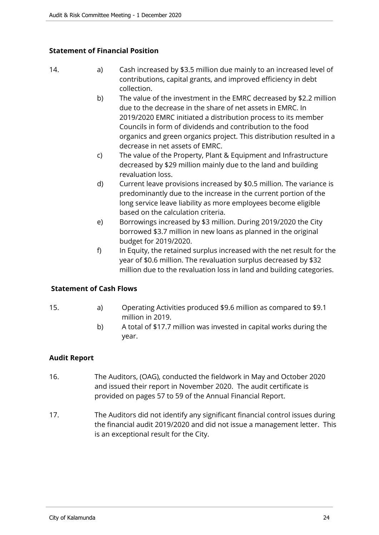# **Statement of Financial Position**

- 14. **a**) Cash increased by \$3.5 million due mainly to an increased level of contributions, capital grants, and improved efficiency in debt collection.
	- b) The value of the investment in the EMRC decreased by \$2.2 million due to the decrease in the share of net assets in EMRC. In 2019/2020 EMRC initiated a distribution process to its member Councils in form of dividends and contribution to the food organics and green organics project. This distribution resulted in a decrease in net assets of EMRC.
	- c) The value of the Property, Plant & Equipment and Infrastructure decreased by \$29 million mainly due to the land and building revaluation loss.
	- d) Current leave provisions increased by \$0.5 million. The variance is predominantly due to the increase in the current portion of the long service leave liability as more employees become eligible based on the calculation criteria.
	- e) Borrowings increased by \$3 million. During 2019/2020 the City borrowed \$3.7 million in new loans as planned in the original budget for 2019/2020.
	- f) In Equity, the retained surplus increased with the net result for the year of \$0.6 million. The revaluation surplus decreased by \$32 million due to the revaluation loss in land and building categories.

# **Statement of Cash Flows**

- 15. a) Operating Activities produced \$9.6 million as compared to \$9.1 million in 2019.
	- b) A total of \$17.7 million was invested in capital works during the year.

# **Audit Report**

- 16. The Auditors, (OAG), conducted the fieldwork in May and October 2020 and issued their report in November 2020. The audit certificate is provided on pages 57 to 59 of the Annual Financial Report.
- 17. The Auditors did not identify any significant financial control issues during the financial audit 2019/2020 and did not issue a management letter. This is an exceptional result for the City.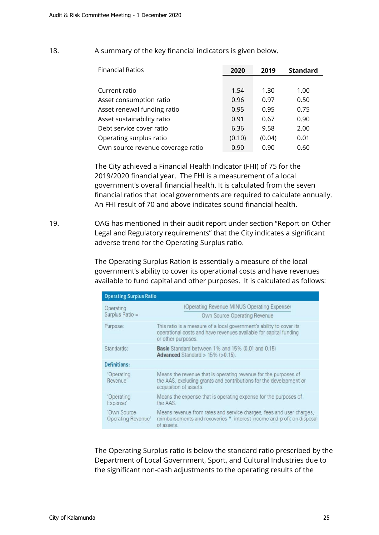| <b>Financial Ratios</b>           | 2020   | 2019   | <b>Standard</b> |
|-----------------------------------|--------|--------|-----------------|
|                                   |        |        |                 |
| Current ratio                     | 1.54   | 1.30   | 1.00            |
| Asset consumption ratio           | 0.96   | 0.97   | 0.50            |
| Asset renewal funding ratio       | 0.95   | 0.95   | 0.75            |
| Asset sustainability ratio        | 0.91   | 0.67   | 0.90            |
| Debt service cover ratio          | 6.36   | 9.58   | 2.00            |
| Operating surplus ratio           | (0.10) | (0.04) | 0.01            |
| Own source revenue coverage ratio | 0.90   | 0.90   | 0.60            |

# 18. A summary of the key financial indicators is given below.

The City achieved a Financial Health Indicator (FHI) of 75 for the 2019/2020 financial year. The FHI is a measurement of a local government's overall financial health. It is calculated from the seven financial ratios that local governments are required to calculate annually. An FHI result of 70 and above indicates sound financial health.

19. OAG has mentioned in their audit report under section "Report on Other Legal and Regulatory requirements" that the City indicates a significant adverse trend for the Operating Surplus ratio.

> The Operating Surplus Ration is essentially a measure of the local government's ability to cover its operational costs and have revenues available to fund capital and other purposes. It is calculated as follows:

| <b>Operating Surplus Ratio</b>    |                                                                                                                                                                 |  |  |  |
|-----------------------------------|-----------------------------------------------------------------------------------------------------------------------------------------------------------------|--|--|--|
| Operating                         | (Operating Revenue MINUS Operating Expense)                                                                                                                     |  |  |  |
| Surplus Ratio =                   | <b>Own Source Operating Revenue</b>                                                                                                                             |  |  |  |
| Purpose:                          | This ratio is a measure of a local government's ability to cover its<br>operational costs and have revenues available for capital funding<br>or other purposes. |  |  |  |
| Standards:                        | <b>Basic</b> Standard between 1% and 15% (0.01 and 0.15)<br>Advanced Standard $> 15\%$ ( $> 0.15$ ).                                                            |  |  |  |
| <b>Definitions:</b>               |                                                                                                                                                                 |  |  |  |
| 'Operating<br>Revenue'            | Means the revenue that is operating revenue for the purposes of<br>the AAS, excluding grants and contributions for the development or<br>acquisition of assets. |  |  |  |
| 'Operating<br>Expense'            | Means the expense that is operating expense for the purposes of<br>the AAS.                                                                                     |  |  |  |
| 'Own Source<br>Operating Revenue' | Means revenue from rates and service charges, fees and user charges,<br>reimbursements and recoveries *, interest income and profit on disposal<br>of assets.   |  |  |  |

The Operating Surplus ratio is below the standard ratio prescribed by the Department of Local Government, Sport, and Cultural Industries due to the significant non-cash adjustments to the operating results of the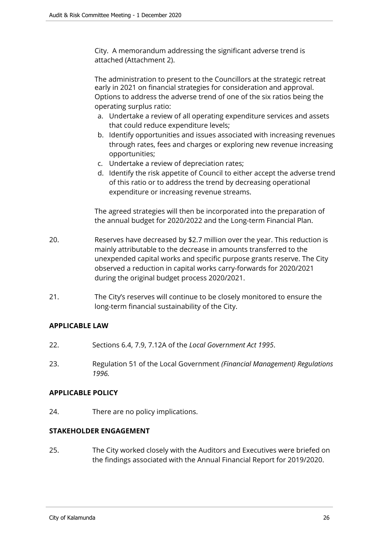City. A memorandum addressing the significant adverse trend is attached (Attachment 2).

The administration to present to the Councillors at the strategic retreat early in 2021 on financial strategies for consideration and approval. Options to address the adverse trend of one of the six ratios being the operating surplus ratio:

- a. Undertake a review of all operating expenditure services and assets that could reduce expenditure levels;
- b. Identify opportunities and issues associated with increasing revenues through rates, fees and charges or exploring new revenue increasing opportunities;
- c. Undertake a review of depreciation rates;
- d. Identify the risk appetite of Council to either accept the adverse trend of this ratio or to address the trend by decreasing operational expenditure or increasing revenue streams.

The agreed strategies will then be incorporated into the preparation of the annual budget for 2020/2022 and the Long-term Financial Plan.

- 20. Reserves have decreased by \$2.7 million over the year. This reduction is mainly attributable to the decrease in amounts transferred to the unexpended capital works and specific purpose grants reserve. The City observed a reduction in capital works carry-forwards for 2020/2021 during the original budget process 2020/2021.
- 21. The City's reserves will continue to be closely monitored to ensure the long-term financial sustainability of the City.

# **APPLICABLE LAW**

- 22. Sections 6.4, 7.9, 7.12A of the *Local Government Act 1995*.
- 23. Regulation 51 of the Local Government *(Financial Management) Regulations 1996.*

#### **APPLICABLE POLICY**

24. There are no policy implications.

# **STAKEHOLDER ENGAGEMENT**

25. The City worked closely with the Auditors and Executives were briefed on the findings associated with the Annual Financial Report for 2019/2020.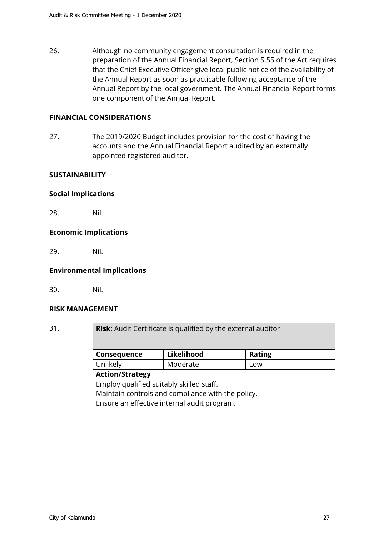26. Although no community engagement consultation is required in the preparation of the Annual Financial Report, Section 5.55 of the Act requires that the Chief Executive Officer give local public notice of the availability of the Annual Report as soon as practicable following acceptance of the Annual Report by the local government. The Annual Financial Report forms one component of the Annual Report.

# **FINANCIAL CONSIDERATIONS**

27. The 2019/2020 Budget includes provision for the cost of having the accounts and the Annual Financial Report audited by an externally appointed registered auditor.

## **SUSTAINABILITY**

## **Social Implications**

28. Nil.

## **Economic Implications**

29. Nil.

# **Environmental Implications**

30. Nil.

#### **RISK MANAGEMENT**

| 31. |                                                   | <b>Risk:</b> Audit Certificate is qualified by the external auditor |               |  |  |  |
|-----|---------------------------------------------------|---------------------------------------------------------------------|---------------|--|--|--|
|     | Consequence                                       | Likelihood                                                          | <b>Rating</b> |  |  |  |
|     | Unlikely                                          | Moderate                                                            | Low           |  |  |  |
|     | <b>Action/Strategy</b>                            |                                                                     |               |  |  |  |
|     | Employ qualified suitably skilled staff.          |                                                                     |               |  |  |  |
|     | Maintain controls and compliance with the policy. |                                                                     |               |  |  |  |
|     | Ensure an effective internal audit program.       |                                                                     |               |  |  |  |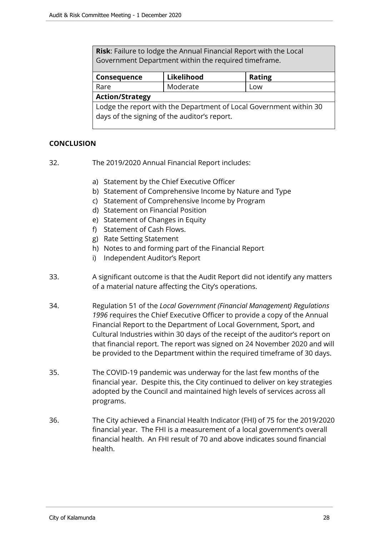**Risk**: Failure to lodge the Annual Financial Report with the Local Government Department within the required timeframe.

| Consequence                                                                                                        | Likelihood | <b>Rating</b> |  |  |  |
|--------------------------------------------------------------------------------------------------------------------|------------|---------------|--|--|--|
| Rare                                                                                                               | Moderate   | Low           |  |  |  |
| <b>Action/Strategy</b>                                                                                             |            |               |  |  |  |
| Lodge the report with the Department of Local Government within 30<br>days of the signing of the auditor's report. |            |               |  |  |  |

# **CONCLUSION**

- 32. The 2019/2020 Annual Financial Report includes:
	- a) Statement by the Chief Executive Officer
	- b) Statement of Comprehensive Income by Nature and Type
	- c) Statement of Comprehensive Income by Program
	- d) Statement on Financial Position
	- e) Statement of Changes in Equity
	- f) Statement of Cash Flows.
	- g) Rate Setting Statement
	- h) Notes to and forming part of the Financial Report
	- i) Independent Auditor's Report
- 33. A significant outcome is that the Audit Report did not identify any matters of a material nature affecting the City's operations.
- 34. Regulation 51 of the *Local Government (Financial Management) Regulations 1996* requires the Chief Executive Officer to provide a copy of the Annual Financial Report to the Department of Local Government, Sport, and Cultural Industries within 30 days of the receipt of the auditor's report on that financial report. The report was signed on 24 November 2020 and will be provided to the Department within the required timeframe of 30 days.
- 35. The COVID-19 pandemic was underway for the last few months of the financial year. Despite this, the City continued to deliver on key strategies adopted by the Council and maintained high levels of services across all programs.
- 36. The City achieved a Financial Health Indicator (FHI) of 75 for the 2019/2020 financial year. The FHI is a measurement of a local government's overall financial health. An FHI result of 70 and above indicates sound financial health.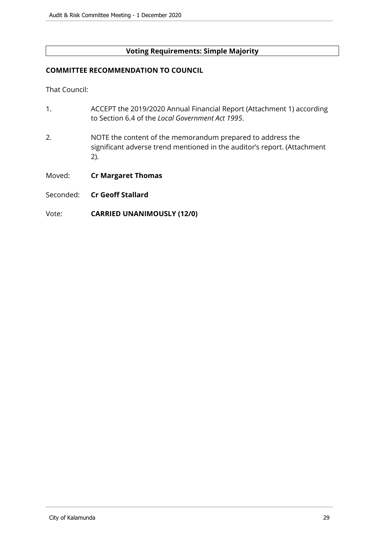# **Voting Requirements: Simple Majority**

#### **COMMITTEE RECOMMENDATION TO COUNCIL**

That Council:

- 1. ACCEPT the 2019/2020 Annual Financial Report (Attachment 1) according to Section 6.4 of the *Local Government Act 1995*.
- 2. NOTE the content of the memorandum prepared to address the significant adverse trend mentioned in the auditor's report. (Attachment 2).
- Moved: **Cr Margaret Thomas**
- Seconded: **Cr Geoff Stallard**
- Vote: **CARRIED UNANIMOUSLY (12/0)**